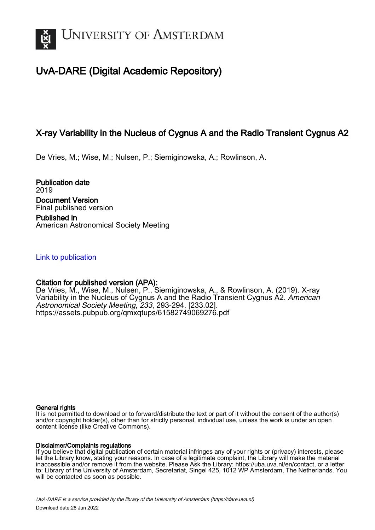

# UvA-DARE (Digital Academic Repository)

## X-ray Variability in the Nucleus of Cygnus A and the Radio Transient Cygnus A2

De Vries, M.; Wise, M.; Nulsen, P.; Siemiginowska, A.; Rowlinson, A.

Publication date 2019 Document Version Final published version Published in American Astronomical Society Meeting

[Link to publication](https://dare.uva.nl/personal/pure/en/publications/xray-variability-in-the-nucleus-of-cygnus-a-and-the-radio-transient-cygnus-a2(dbcd1e05-a41f-4400-8c9d-37f753267f6e).html)

## Citation for published version (APA):

De Vries, M., Wise, M., Nulsen, P., Siemiginowska, A., & Rowlinson, A. (2019). X-ray Variability in the Nucleus of Cygnus A and the Radio Transient Cygnus A2. American Astronomical Society Meeting, 233, 293-294. [233.02]. <https://assets.pubpub.org/qmxqtups/61582749069276.pdf>

#### General rights

It is not permitted to download or to forward/distribute the text or part of it without the consent of the author(s) and/or copyright holder(s), other than for strictly personal, individual use, unless the work is under an open content license (like Creative Commons).

#### Disclaimer/Complaints regulations

If you believe that digital publication of certain material infringes any of your rights or (privacy) interests, please let the Library know, stating your reasons. In case of a legitimate complaint, the Library will make the material inaccessible and/or remove it from the website. Please Ask the Library: https://uba.uva.nl/en/contact, or a letter to: Library of the University of Amsterdam, Secretariat, Singel 425, 1012 WP Amsterdam, The Netherlands. You will be contacted as soon as possible.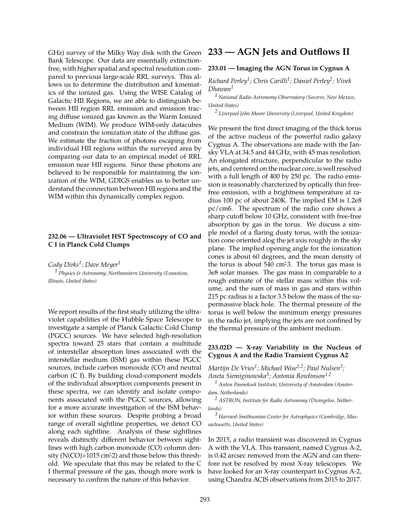GHz) survey of the Milky Way disk with the Green Bank Telescope. Our data are essentially extinctionfree, with higher spatial and spectral resolution compared to previous large-scale RRL surveys. This allows us to determine the distribution and kinematics of the ionized gas. Using the WISE Catalog of Galactic HII Regions, we are able to distinguish between HII region RRL emission and emission tracing diffuse ionized gas known as the Warm Ionized Medium (WIM). We produce WIM-only datacubes and constrain the ionization state of the diffuse gas. We estimate the fraction of photons escaping from individual HII regions within the surveyed area by comparing our data to an empirical model of RRL emission near HII regions. Since these photons are believed to be responsible for maintaining the ionization of the WIM, GDIGS enables us to better understand the connection between HII regions and the WIM within this dynamically complex region.

#### **232.06 — Ultraviolet HST Spectroscopy of CO and C I in Planck Cold Clumps**

*Cody Dirks<sup>1</sup> ; Dave Meyer<sup>1</sup> <sup>1</sup> Physics & Astronomy, Northwestern University (Evanstion, Illinois, United States)*

We report results of the first study utilizing the ultraviolet capabilities of the Hubble Space Telescope to investigate a sample of Planck Galactic Cold Clump (PGCC) sources. We have selected high-resolution spectra toward 25 stars that contain a multitude of interstellar absorption lines associated with the interstellar medium (ISM) gas within these PGCC sources, include carbon monoxide (CO) and neutral carbon (C I). By building cloud-component models of the individual absorption components present in these spectra, we can identify and isolate components associated with the PGCC sources, allowing for a more accurate investigation of the ISM behavior within these sources. Despite probing a broad range of overall sightline properties, we detect CO along each sightline. Analysis of these sightlines reveals distinctly different behavior between sightlines with high carbon monoxide (CO) column density ( $N(CO)$  > 1015 cm<sup>2</sup>2) and those below this threshold. We speculate that this may be related to the C I thermal pressure of the gas, though more work is necessary to confirm the nature of this behavior.

### **233 — AGN Jets and Outflows II**

#### **233.01 — Imaging the AGN Torus in Cygnus A**

*Richard Perley<sup>1</sup> ; Chris Carilli<sup>1</sup> ; Daniel Perley<sup>2</sup> ; Vivek Dhawan<sup>1</sup>*

*<sup>1</sup> National Radio Astronomy Observatory (Socorro, New Mexico, United States)*

*2 Liverpool John Moore University (Liverpool, United Kingdom)*

We present the first direct imaging of the thick torus of the active nucleus of the powerful radio galaxy Cygnus A. The observations are made with the Jansky VLA at 34.5 and 44 GHz, with 45 mas resolution. An elongated structure, perpendicular to the radio jets, and centered on the nuclear core, is well resolved with a full length of 400 by 250 pc. The radio emission is reasonably charcterized by optically thin freefree emission, with a brightness temperature at radius 100 pc of about 240K. The implied EM is 1.2e8 pc/cm6̂. The spectrum of the radio core shows a sharp cutoff below 10 GHz, consistent with free-free absorption by gas in the torus. We discuss a simple model of a flaring dusty torus, with the ionization cone oriented alog the jet axis roughly in the sky plane. The implied opening angle for the ionization cones is about 60 degrees, and the mean density of the torus is about 540 cm<sup>2</sup>3. The torus gas mass is 3e8 solar masses. The gas mass in comparable to a rough estimate of the stellar mass within this volume, and the sum of mass in gas and stars within 215 pc radius is a factor 3.5 below the mass of the supermassive black hole. The thermal pressure of the torus is well below the minimum energy pressures in the radio jet, implying the jets are not confined by the thermal pressure of the ambient medium.

#### **233.02D — X-ray Variability in the Nucleus of Cygnus A and the Radio Transient Cygnus A2**

*Martijn De Vries<sup>1</sup> ; Michael Wise1,2; Paul Nulsen<sup>3</sup> ; Aneta Siemiginowska<sup>3</sup> ; Antonia Rowlinson1,2*

*<sup>1</sup> Anton Pannekoek Institute, University of Amsterdam (Amsterdam, Netherlands)*

*<sup>2</sup> ASTRON, Institute for Radio Astronomy (Dwingeloo, Netherlands)*

*<sup>3</sup> Harvard-Smithsonian Center for Astrophysics (Cambridge, Massachusetts, United States)*

In 2015, a radio transient was discovered in Cygnus A with the VLA. This transient, named Cygnus A-2, is 0.42 arcsec removed from the AGN and can therefore not be resolved by most X-ray telescopes. We have looked for an X-ray counterpart to Cygnus A-2, using Chandra ACIS observations from 2015 to 2017.